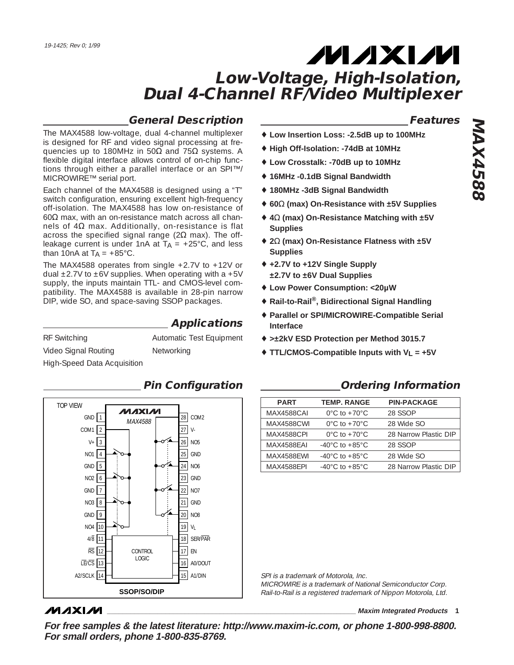## **General Description**

**Applications**

The MAX4588 low-voltage, dual 4-channel multiplexer is designed for RF and video signal processing at frequencies up to 180MHz in 50 $\Omega$  and 75 $\Omega$  systems. A flexible digital interface allows control of on-chip functions through either a parallel interface or an SPI™/ MICROWIRE™ serial port.

Each channel of the MAX4588 is designed using a "T" switch configuration, ensuring excellent high-frequency off-isolation. The MAX4588 has low on-resistance of 60 $\Omega$  max, with an on-resistance match across all channels of  $4\Omega$  max. Additionally, on-resistance is flat across the specified signal range ( $2Ω$  max). The offleakage current is under 1nA at  $TA = +25^{\circ}C$ , and less than 10nA at  $T_A = +85^{\circ}$ C.

The MAX4588 operates from single +2.7V to +12V or dual  $\pm$ 2.7V to  $\pm$ 6V supplies. When operating with a +5V supply, the inputs maintain TTL- and CMOS-level compatibility. The MAX4588 is available in 28-pin narrow DIP, wide SO, and space-saving SSOP packages.

| <b>RF</b> Switching         | Automatic Test Equipment |
|-----------------------------|--------------------------|
| Video Signal Routing        | Networking               |
| High-Speed Data Acquisition |                          |



## **MAXIM**

♦ **Low Insertion Loss: -2.5dB up to 100MHz**

**Features**

- ♦ **High Off-Isolation: -74dB at 10MHz** ♦ **Low Crosstalk: -70dB up to 10MHz**
- ♦ **16MHz -0.1dB Signal Bandwidth**
- ♦ **180MHz -3dB Signal Bandwidth**
- ♦ **60**Ω **(max) On-Resistance with ±5V Supplies**
- ♦ **4**Ω **(max) On-Resistance Matching with ±5V Supplies**
- ♦ **2**Ω **(max) On-Resistance Flatness with ±5V Supplies**
- ♦ **+2.7V to +12V Single Supply ±2.7V to ±6V Dual Supplies**
- ♦ **Low Power Consumption: <20µW**
- ♦ **Rail-to-Rail®, Bidirectional Signal Handling**
- ♦ **Parallel or SPI/MICROWIRE-Compatible Serial Interface**
- ♦ **>±2kV ESD Protection per Method 3015.7**
- ♦ **TTL/CMOS-Compatible Inputs with VL = +5V**

### **Pin Configuration Ordering Information**

| <b>PART</b>       | <b>TEMP. RANGE</b>                   | <b>PIN-PACKAGE</b>    |
|-------------------|--------------------------------------|-----------------------|
| <b>MAX4588CAI</b> | $0^{\circ}$ C to +70 $^{\circ}$ C    | 28 SSOP               |
| <b>MAX4588CWI</b> | $0^{\circ}$ C to +70 $^{\circ}$ C    | 28 Wide SO            |
| <b>MAX4588CPL</b> | $0^{\circ}$ C to $+70^{\circ}$ C     | 28 Narrow Plastic DIP |
| <b>MAX4588FAI</b> | $-40^{\circ}$ C to $+85^{\circ}$ C   | 28 SSOP               |
| MAX4588FWI        | -40 $^{\circ}$ C to +85 $^{\circ}$ C | 28 Wide SO            |
| MAX4588FPI        | $-40^{\circ}$ C to $+85^{\circ}$ C   | 28 Narrow Plastic DIP |

SPI is a trademark of Motorola, Inc.

MICROWIRE is a trademark of National Semiconductor Corp. Rail-to-Rail is a registered trademark of Nippon Motorola, Ltd.

**\_\_\_\_\_\_\_\_\_\_\_\_\_\_\_\_\_\_\_\_\_\_\_\_\_\_\_\_\_\_\_\_\_\_\_\_\_\_\_\_\_\_\_\_\_\_\_\_\_\_\_\_\_\_\_\_\_\_\_\_\_\_\_\_ Maxim Integrated Products 1**

**For free samples & the latest literature: http://www.maxim-ic.com, or phone 1-800-998-8800. For small orders, phone 1-800-835-8769.**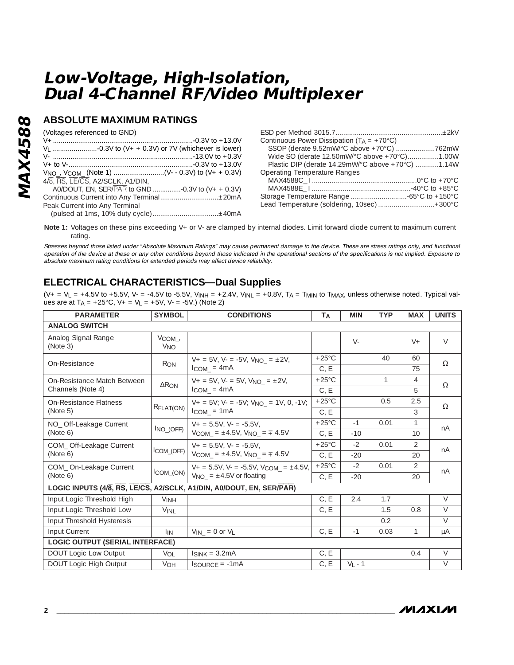## **ABSOLUTE MAXIMUM RATINGS**

| (Voltages referenced to GND)<br>4/8, RS, LE/CS, A2/SCLK, A1/DIN,<br>Peak Current into Any Terminal | Continuous Power Dissipation ( $T_A = +70^{\circ}C$ )<br>Wide SO (derate 12.50mW/°C above +70°C)1.00W<br>Plastic DIP (derate 14.29mW/°C above +70°C) 1.14W<br><b>Operating Temperature Ranges</b><br>Lead Temperature (soldering, 10sec)  +300°C |
|----------------------------------------------------------------------------------------------------|--------------------------------------------------------------------------------------------------------------------------------------------------------------------------------------------------------------------------------------------------|
|----------------------------------------------------------------------------------------------------|--------------------------------------------------------------------------------------------------------------------------------------------------------------------------------------------------------------------------------------------------|

Note 1: Voltages on these pins exceeding V+ or V- are clamped by internal diodes. Limit forward diode current to maximum current rating.

Stresses beyond those listed under "Absolute Maximum Ratings" may cause permanent damage to the device. These are stress ratings only, and functional operation of the device at these or any other conditions beyond those indicated in the operational sections of the specifications is not implied. Exposure to absolute maximum rating conditions for extended periods may affect device reliability.

## **ELECTRICAL CHARACTERISTICS—Dual Supplies**

 $(V_+ = V_L = +4.5V$  to +5.5V, V- = -4.5V to -5.5V, V<sub>INH</sub> = +2.4V, V<sub>INL</sub> = +0.8V, T<sub>A</sub> = T<sub>MIN</sub> to T<sub>MAX</sub>, unless otherwise noted. Typical values are at  $T_A = +25^{\circ}$ C,  $V_+ = V_L = +5V$ ,  $V_- = -5V$ .) (Note 2)

| <b>PARAMETER</b>                       | <b>SYMBOL</b>                               | <b>CONDITIONS</b>                                                                                           | TA              | <b>MIN</b> | <b>TYP</b>   | <b>MAX</b>     | <b>UNITS</b> |
|----------------------------------------|---------------------------------------------|-------------------------------------------------------------------------------------------------------------|-----------------|------------|--------------|----------------|--------------|
| <b>ANALOG SWITCH</b>                   |                                             |                                                                                                             |                 |            |              |                |              |
| Analog Signal Range<br>(Note 3)        | $V_{COM_{\prime}}$<br><b>V<sub>NO</sub></b> |                                                                                                             |                 | $V -$      |              | $V +$          | $\vee$       |
| On-Resistance                          | R <sub>ON</sub>                             | $V_+ = 5V$ , $V_- = -5V$ , $V_{NO} = \pm 2V$ ,                                                              | $+25^{\circ}$ C |            | 40           | 60             | $\Omega$     |
|                                        |                                             | $l_{COM} = 4mA$                                                                                             | C, E            |            |              | 75             |              |
| On-Resistance Match Between            | $\Delta$ R <sub>ON</sub>                    | $V_+ = 5V$ , $V_- = 5V$ , $V_{NO} = \pm 2V$ ,                                                               | $+25^{\circ}$ C |            | $\mathbf{1}$ | $\overline{4}$ | $\Omega$     |
| Channels (Note 4)                      |                                             | $l_{COM}$ = 4mA                                                                                             | C, E            |            |              | 5              |              |
| On-Resistance Flatness                 | RFLAT(ON)                                   | $V_+ = 5V$ ; $V_- = -5V$ ; $V_{NO} = 1V$ , 0, -1V;                                                          | $+25^{\circ}$ C |            | 0.5          | 2.5            | $\Omega$     |
| (Note 5)                               |                                             | $l_{COM} = 1mA$                                                                                             | C.E             |            |              | 3              |              |
| NO_ Off-Leakage Current                |                                             | $V_+ = 5.5V$ . $V_- = -5.5V$ .<br>$I_{NO_ (OFF)}$<br>$V_{COM}$ = ±4.5V, $V_{NO}$ = $\frac{1}{4}$ 4.5V       | $+25^{\circ}$ C | $-1$       | 0.01         | $\mathbf{1}$   | nA           |
| (Note 6)                               |                                             |                                                                                                             | C, E            | $-10$      |              | 10             |              |
| COM Off-Leakage Current                |                                             | $V_+ = 5.5V$ . $V_- = -5.5V$ .<br>$\mathsf{ICOM}_\mathsf{LOFF}$<br>$V_{COM} = \pm 4.5V$ , $V_{NO} = 7.4.5V$ | $+25^{\circ}$ C | $-2$       | 0.01         | $\mathcal{L}$  | nA           |
| (Note 6)                               |                                             |                                                                                                             | C, E            | $-20$      |              | 20             |              |
| COM_On-Leakage Current                 |                                             | $V_+ = 5.5V$ , $V_- = -5.5V$ , $V_{COM} = \pm 4.5V$ ,                                                       | $+25^{\circ}$ C | $-2$       | 0.01         | $\mathcal{P}$  | nA           |
| (Note 6)                               |                                             | $\text{ICOM}_\text{CON}$ $\left  V_{\text{NO}_\text{m}} = \pm 4.5 \text{V} \text{ or floating} \right $     | C, E            | $-20$      |              | 20             |              |
|                                        |                                             | LOGIC INPUTS (4/8, RS, LE/CS, A2/SCLK, A1/DIN, A0/DOUT, EN, SER/PAR)                                        |                 |            |              |                |              |
| Input Logic Threshold High             | <b>VINH</b>                                 |                                                                                                             | C, E            | 2.4        | 1.7          |                | $\vee$       |
| Input Logic Threshold Low              | <b>VINL</b>                                 |                                                                                                             | C, E            |            | 1.5          | 0.8            | $\vee$       |
| Input Threshold Hysteresis             |                                             |                                                                                                             |                 |            | 0.2          |                | $\vee$       |
| Input Current                          | <b>IIN</b>                                  | $V_{IN}$ = 0 or $V_L$                                                                                       | C, E            | $-1$       | 0.03         | $\mathbf{1}$   | μA           |
| <b>LOGIC OUTPUT (SERIAL INTERFACE)</b> |                                             |                                                                                                             |                 |            |              |                |              |
| DOUT Logic Low Output                  | $V_{\text{O}}$                              | $I_{SINK} = 3.2mA$                                                                                          | C, E            |            |              | 0.4            | $\vee$       |
| <b>DOUT Logic High Output</b>          | $V_{OH}$                                    | $I_{\text{SOLIRCF}} = -1 \text{mA}$                                                                         | C, E            | $V_1 - 1$  |              |                | $\vee$       |

**MAX4588**

**MAX4588** 

/VI/IXI/VI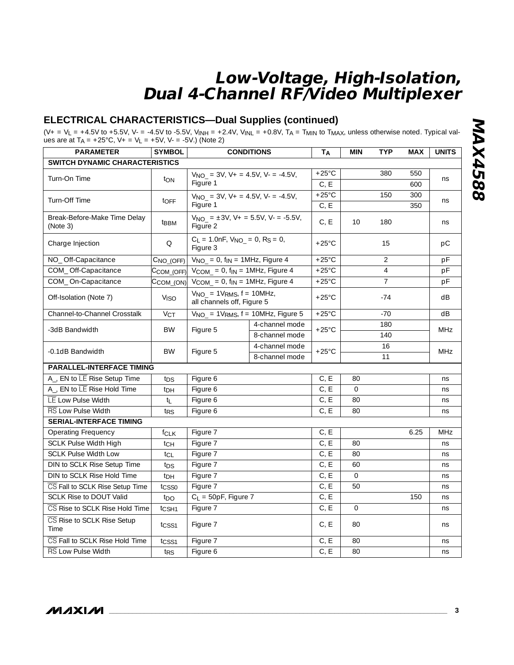## **ELECTRICAL CHARACTERISTICS—Dual Supplies (continued)**

(V+ = V<sub>L</sub> = +4.5V to +5.5V, V- = -4.5V to -5.5V, V<sub>INH</sub> = +2.4V, V<sub>INL</sub> = +0.8V, T<sub>A</sub> = T<sub>MIN</sub> to T<sub>MAX</sub>, unless otherwise noted. Typical values are at T<sub>A</sub> = +25°C, V+ = V<sub>L</sub> = +5V, V- = -5V.) (Note 2)

| <b>PARAMETER</b>                         | <b>SYMBOL</b>          |                                                                            | <b>CONDITIONS</b>                                          | TA                | <b>MIN</b>   | <b>TYP</b>     | <b>MAX</b> | <b>UNITS</b> |  |
|------------------------------------------|------------------------|----------------------------------------------------------------------------|------------------------------------------------------------|-------------------|--------------|----------------|------------|--------------|--|
| <b>SWITCH DYNAMIC CHARACTERISTICS</b>    |                        |                                                                            |                                                            |                   |              |                |            |              |  |
|                                          |                        | $V_{NO}$ = 3V, V + = 4.5V, V - = -4.5V,                                    |                                                            | $+25^{\circ}$ C   |              | 380            | 550        |              |  |
| Turn-On Time                             | ton                    | Figure 1                                                                   |                                                            | C, E              |              |                | 600        | ns           |  |
| Turn-Off Time                            |                        |                                                                            | $+25^{\circ}$ C<br>$V_{NO}$ = 3V, V + = 4.5V, V - = -4.5V, |                   |              | 150            | 300        | ns           |  |
|                                          | toff                   | Figure 1                                                                   |                                                            | C, E              |              |                | 350        |              |  |
| Break-Before-Make Time Delay<br>(Note 3) | t <sub>BBM</sub>       | $V_{NO}$ = ±3V, V + = 5.5V, V - = -5.5V,<br>Figure 2                       |                                                            | C, E              | 10           | 180            |            | ns           |  |
| Charge Injection                         | Q                      | $C_L = 1.0$ nF, $V_{NO_} = 0$ , R <sub>S</sub> = 0,<br>Figure 3            |                                                            | $+25^{\circ}$ C   |              | 15             |            | pC           |  |
| NO_Off-Capacitance                       | $CNO$ <sub>(OFF)</sub> | $V_{NO} = 0$ , f <sub>IN</sub> = 1MHz, Figure 4                            |                                                            | $+25^{\circ}$ C   |              | $\overline{2}$ |            | pF           |  |
| COM_Off-Capacitance                      | $C$ COM_(OFF)          | $V_{COM} = 0$ , $f_{IN} = 1MHz$ , Figure 4                                 |                                                            | $+25^{\circ}$ C   |              | $\overline{4}$ |            | pF           |  |
| COM_On-Capacitance                       | $CCOM_ (ON)$           | $V_{COM} = 0$ , $f_{IN} = 1MHz$ , Figure 4                                 |                                                            | $+25^{\circ}$ C   |              | $\overline{7}$ |            | pF           |  |
| Off-Isolation (Note 7)                   | <b>V<sub>ISO</sub></b> | $V_{NO}$ = 1V <sub>RMS</sub> , $f = 10MHz$ ,<br>all channels off, Figure 5 |                                                            | $+25^{\circ}$ C   |              | $-74$          |            | dB           |  |
| Channel-to-Channel Crosstalk             | $V_{CT}$               | $V_{NO_-}$ = 1V <sub>RMS</sub> , $f = 10MHz$ , Figure 5                    |                                                            | $+25^{\circ}$ C   |              | $-70$          |            | dB           |  |
| -3dB Bandwidth                           | <b>BW</b>              | Figure 5                                                                   | 4-channel mode                                             | $+25^{\circ}$ C   |              | 180            |            | <b>MHz</b>   |  |
|                                          |                        |                                                                            | 8-channel mode                                             |                   |              | 140            |            |              |  |
| -0.1dB Bandwidth                         | <b>BW</b>              | Figure 5                                                                   | 4-channel mode                                             | $+25^{\circ}$ C   |              | 16             |            | <b>MHz</b>   |  |
|                                          |                        |                                                                            | 8-channel mode                                             |                   | 11           |                |            |              |  |
| <b>PARALLEL-INTERFACE TIMING</b>         |                        |                                                                            |                                                            |                   |              |                |            |              |  |
| A_, EN to LE Rise Setup Time             | t <sub>DS</sub>        | Figure 6                                                                   |                                                            | C, E              | 80           |                |            | ns           |  |
| A_, EN to LE Rise Hold Time              | t <sub>DH</sub>        | Figure 6                                                                   |                                                            | C, E              | $\mathbf{O}$ |                |            | ns           |  |
| LE Low Pulse Width                       | tı                     | Figure 6                                                                   |                                                            | $C, \overline{E}$ | 80           |                |            | ns           |  |
| RS Low Pulse Width                       | t <sub>RS</sub>        | Figure 6                                                                   |                                                            | C, E              | 80           |                |            | ns           |  |
| <b>SERIAL-INTERFACE TIMING</b>           |                        |                                                                            |                                                            |                   |              |                |            |              |  |
| <b>Operating Frequency</b>               | fclk                   | Figure 7                                                                   |                                                            | C, E              |              |                | 6.25       | MHz          |  |
| <b>SCLK Pulse Width High</b>             | t <sub>CH</sub>        | Figure 7                                                                   |                                                            | $C, \overline{E}$ | 80           |                |            | ns           |  |
| <b>SCLK Pulse Width Low</b>              | $t_{CL}$               | Figure 7                                                                   |                                                            | C, E              | 80           |                |            | ns           |  |
| DIN to SCLK Rise Setup Time              | t <sub>DS</sub>        | Figure 7                                                                   |                                                            | C, E              | 60           |                |            | ns           |  |
| DIN to SCLK Rise Hold Time               | $t_{DH}$               | Figure 7                                                                   |                                                            | C, E              | $\Omega$     |                |            | ns           |  |
| CS Fall to SCLK Rise Setup Time          | tcsso                  | Figure 7                                                                   |                                                            |                   | 50           |                |            | ns           |  |
| <b>SCLK Rise to DOUT Valid</b>           | t <sub>DO</sub>        | $C_L = 50pF$ , Figure 7                                                    |                                                            | C, E              |              |                | 150        | ns           |  |
| CS Rise to SCLK Rise Hold Time           | t <sub>CSH1</sub>      | Figure 7                                                                   |                                                            | C, E              | $\Omega$     |                |            | ns           |  |
| CS Rise to SCLK Rise Setup<br>Time       | t <sub>CSS1</sub>      | Figure 7                                                                   |                                                            | C, E              | 80           |                |            | ns           |  |
| CS Fall to SCLK Rise Hold Time           | tcss1                  | Figure 7                                                                   |                                                            | C, E<br>C, E      | 80           |                |            | ns           |  |
| RS Low Pulse Width                       | t <sub>RS</sub>        | Figure 6                                                                   |                                                            |                   | 80           |                |            | ns           |  |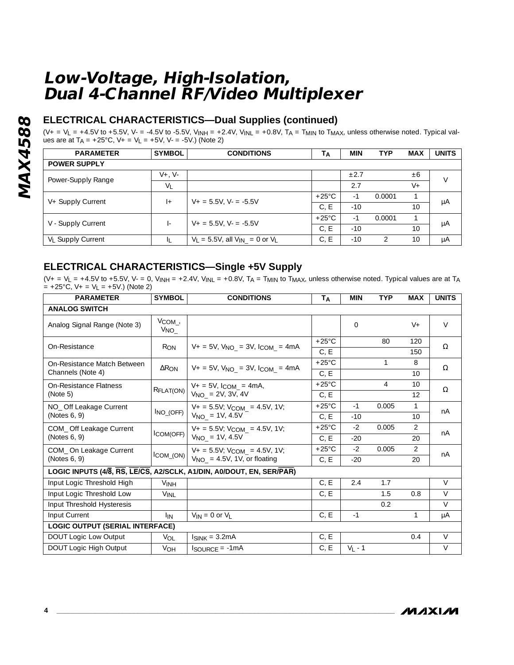## **ELECTRICAL CHARACTERISTICS—Dual Supplies (continued)**

(V+ = V<sub>L</sub> = +4.5V to +5.5V, V- = -4.5V to -5.5V, V<sub>INH</sub> = +2.4V, V<sub>INL</sub> = +0.8V, T<sub>A</sub> = T<sub>MIN</sub> to T<sub>MAX</sub>, unless otherwise noted. Typical values are at T<sub>A</sub> = +25°C, V+ = V<sub>L</sub> = +5V, V- = -5V.) (Note 2)

| <b>PARAMETER</b>              | <b>SYMBOL</b>     | <b>CONDITIONS</b>                        | T <sub>A</sub>  | <b>MIN</b> | <b>TYP</b> | <b>MAX</b> | <b>UNITS</b> |
|-------------------------------|-------------------|------------------------------------------|-----------------|------------|------------|------------|--------------|
| <b>POWER SUPPLY</b>           |                   |                                          |                 |            |            |            |              |
|                               | $V_{+}$ . $V_{-}$ |                                          |                 | $\pm 2.7$  |            | ±6         | V            |
| Power-Supply Range            | $V_L$             |                                          |                 | 2.7        |            | $V +$      |              |
|                               | $ +$              | $V_+ = 5.5V$ , $V_- = -5.5V$             | $+25^{\circ}$ C | $-1$       | 0.0001     |            | μA           |
| V+ Supply Current             |                   |                                          | C, E            | $-10$      |            | 10         |              |
| V - Supply Current            | $\vert$           | $V_+ = 5.5V$ , $V_- = -5.5V$             | $+25^{\circ}$ C | $-1$       | 0.0001     |            | μA           |
|                               |                   |                                          | C.E             | $-10$      |            | 10         |              |
| V <sub>L</sub> Supply Current | ΙL                | $V_L = 5.5V$ , all $V_{IN} = 0$ or $V_L$ | C, E            | $-10$      | っ          | 10         | μA           |

## **ELECTRICAL CHARACTERISTICS—Single +5V Supply**

 $(V_+ = V_L = +4.5V$  to +5.5V, V- = 0, V<sub>INH</sub> = +2.4V, V<sub>INL</sub> = +0.8V, T<sub>A</sub> = T<sub>MIN</sub> to T<sub>MAX</sub>, unless otherwise noted. Typical values are at T<sub>A</sub>  $= +25^{\circ}C$ ,  $V_{+} = V_{L} = +5V$ .) (Note 2)

| <b>PARAMETER</b>                       | <b>SYMBOL</b>                  | <b>CONDITIONS</b>                                                            | T <sub>A</sub>  | <b>MIN</b> | <b>TYP</b>   | <b>MAX</b>     | <b>UNITS</b> |
|----------------------------------------|--------------------------------|------------------------------------------------------------------------------|-----------------|------------|--------------|----------------|--------------|
| <b>ANALOG SWITCH</b>                   |                                |                                                                              |                 |            |              |                |              |
| Analog Signal Range (Note 3)           | $V_{COM}$ ,<br>V <sub>NO</sub> |                                                                              |                 | $\Omega$   |              | $V +$          | $\vee$       |
| On-Resistance                          | <b>R</b> ON                    | $V_+ = 5V$ , $V_{NO} = 3V$ , $I_{COM} = 4mA$                                 | $+25^{\circ}$ C |            | 80           | 120            | Ω            |
|                                        |                                |                                                                              | C, E            |            |              | 150            |              |
| On-Resistance Match Between            | $\Delta$ R <sub>ON</sub>       | $V_+ = 5V$ , $V_{NO} = 3V$ , $I_{COM} = 4mA$                                 | $+25^{\circ}$ C |            | $\mathbf{1}$ | 8              | Ω            |
| Channels (Note 4)                      |                                |                                                                              | C, E            |            |              | 10             |              |
| On-Resistance Flatness                 | RFLAT(ON)                      | $V_+ = 5V$ , $I_{COM_-} = 4mA$ ,                                             | $+25^{\circ}$ C |            | 4            | 10             | $\Omega$     |
| (Note 5)                               |                                | $V_{NO}$ = 2V, 3V, 4V                                                        | C, E            |            |              | 12             |              |
| NO_ Off Leakage Current                | $I_{NO_ (OFF)}$                | $V_+ = 5.5V$ ; $V_{COM} = 4.5V$ , 1V;                                        | $+25^{\circ}$ C | $-1$       | 0.005        | 1              | nA           |
| (Notes 6, 9)                           |                                | $V_{NO}$ = 1V, 4.5V                                                          | C, E            | $-10$      |              | 10             |              |
| COM_ Off Leakage Current               |                                | $V_+ = 5.5V$ ; $V_{COM} = 4.5V$ , 1V;<br>$l$ COM(OFF)<br>$V_{NO}$ = 1V, 4.5V | $+25^{\circ}$ C | $-2$       | 0.005        | 2              | nA           |
| (Notes 6, 9)                           |                                |                                                                              | C, E            | $-20$      |              | 20             |              |
| COM_On Leakage Current                 |                                | $V_+ = 5.5V$ ; $V_{COM} = 4.5V$ , 1V;                                        | $+25^{\circ}$ C | $-2$       | 0.005        | $\mathfrak{D}$ | nA           |
| (Notes 6, 9)                           | $l$ COM_(ON) $ $               | $V_{NO}$ = 4.5V, 1V, or floating                                             | C, E            | $-20$      |              | 20             |              |
|                                        |                                | LOGIC INPUTS (4/8, RS, LE/CS, A2/SCLK, A1/DIN, A0/DOUT, EN, SER/PAR)         |                 |            |              |                |              |
| Input Logic Threshold High             | <b>VINH</b>                    |                                                                              | C, E            | 2.4        | 1.7          |                | $\vee$       |
| Input Logic Threshold Low              | <b>VINI</b>                    |                                                                              | C, E            |            | 1.5          | 0.8            | $\vee$       |
| Input Threshold Hysteresis             |                                |                                                                              |                 |            | 0.2          |                | $\vee$       |
| Input Current                          | <b>I</b> IN                    | $V_{IN} = 0$ or $V_{I}$                                                      | C, E            | $-1$       |              | 1              | μA           |
| <b>LOGIC OUTPUT (SERIAL INTERFACE)</b> |                                |                                                                              |                 |            |              |                |              |
| DOUT Logic Low Output                  | VOL                            | $I_{SINK} = 3.2mA$                                                           | C, E            |            |              | 0.4            | $\vee$       |
| DOUT Logic High Output                 | VOH                            | $I_{\text{SOURCE}} = -1 \text{mA}$                                           | C, E            | $V_L - 1$  |              |                | $\vee$       |

**MAXM**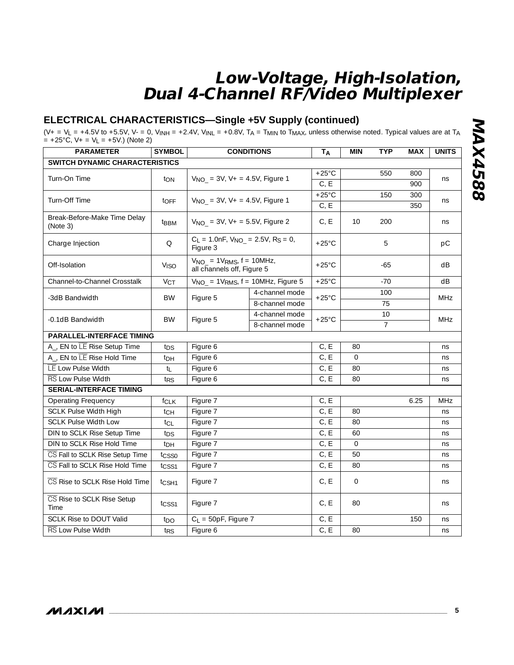## **ELECTRICAL CHARACTERISTICS—Single +5V Supply (continued)**

(V+ = V<sub>L</sub> = +4.5V to +5.5V, V- = 0, V<sub>INH</sub> = +2.4V, V<sub>INL</sub> = +0.8V, T<sub>A</sub> = T<sub>MIN</sub> to T<sub>MAX</sub>, unless otherwise noted. Typical values are at T<sub>A</sub>  $= +25^{\circ}$ C, V + = V<sub>L</sub> = +5V.) (Note 2)

| <b>PARAMETER</b>                         | <b>SYMBOL</b>          |                                                                            | <b>CONDITIONS</b> | TA              | <b>MIN</b>   | <b>TYP</b>     | <b>MAX</b> | <b>UNITS</b> |
|------------------------------------------|------------------------|----------------------------------------------------------------------------|-------------------|-----------------|--------------|----------------|------------|--------------|
| SWITCH DYNAMIC CHARACTERISTICS           |                        |                                                                            |                   |                 |              |                |            |              |
| Turn-On Time                             |                        | $V_{NO}$ = 3V, V + = 4.5V, Figure 1                                        |                   | $+25^{\circ}$ C |              | 550            | 800        |              |
|                                          | ton                    |                                                                            |                   | C, E            |              |                | 900        | ns           |
| Turn-Off Time                            |                        | $V_{NO}$ = 3V, V + = 4.5V, Figure 1                                        |                   | $+25^{\circ}$ C |              | 150            | 300        |              |
|                                          | toff                   |                                                                            |                   | C, E            |              |                | 350        | ns           |
| Break-Before-Make Time Delay<br>(Note 3) | t <sub>BBM</sub>       | $V_{NO}$ = 3V, V + = 5.5V, Figure 2                                        |                   | C, E            | 10           | 200            |            | ns           |
| Charge Injection                         | Q                      | $C_L = 1.0$ nF, $V_{NO_2} = 2.5V$ , R <sub>S</sub> = 0,<br>Figure 3        |                   | $+25^{\circ}$ C |              | 5              |            | рC           |
| Off-Isolation                            | <b>V<sub>ISO</sub></b> | $V_{NO}$ = 1V <sub>RMS</sub> , $f = 10MHz$ ,<br>all channels off, Figure 5 |                   | $+25^{\circ}$ C |              | $-65$          |            | dB           |
| Channel-to-Channel Crosstalk             | V <sub>CT</sub>        | $V_{NO}$ = 1V <sub>RMS</sub> , $f = 10MHz$ , Figure 5                      |                   | $+25^{\circ}$ C |              | $-70$          |            | dB           |
| -3dB Bandwidth                           | BW                     |                                                                            | 4-channel mode    | $+25^{\circ}$ C |              | 100            |            | <b>MHz</b>   |
|                                          |                        | Figure 5                                                                   | 8-channel mode    |                 |              | 75             |            |              |
| -0.1dB Bandwidth                         | <b>BW</b>              | Figure 5                                                                   | 4-channel mode    | $+25^{\circ}$ C |              | 10             |            | <b>MHz</b>   |
|                                          |                        |                                                                            | 8-channel mode    |                 |              | $\overline{7}$ |            |              |
| <b>PARALLEL-INTERFACE TIMING</b>         |                        |                                                                            |                   |                 |              |                |            |              |
| A_, EN to LE Rise Setup Time             | t <sub>DS</sub>        | Figure 6                                                                   |                   | C, E            | 80           |                |            | ns           |
| A_, EN to LE Rise Hold Time              | t <sub>DH</sub>        | Figure 6                                                                   |                   | C, E            | $\Omega$     |                |            | ns           |
| LE Low Pulse Width                       | tı                     | Figure 6                                                                   |                   | C, E            | 80           |                |            | ns           |
| <b>RS</b> Low Pulse Width                | t <sub>RS</sub>        | Figure 6                                                                   |                   | C, E            | 80           |                |            | ns           |
| <b>SERIAL-INTERFACE TIMING</b>           |                        |                                                                            |                   |                 |              |                |            |              |
| <b>Operating Frequency</b>               | $f_{CLK}$              | Figure 7                                                                   |                   | C, E            |              |                | 6.25       | <b>MHz</b>   |
| <b>SCLK Pulse Width High</b>             | $t_{CH}$               | Figure 7                                                                   |                   | C, E            | 80           |                |            | ns           |
| <b>SCLK Pulse Width Low</b>              | tcL                    | Figure 7                                                                   |                   | C, E            | 80           |                |            | ns           |
| DIN to SCLK Rise Setup Time              | t <sub>DS</sub>        | Figure 7                                                                   |                   | C, E            | 60           |                |            | ns           |
| DIN to SCLK Rise Hold Time               | t <sub>DH</sub>        | Figure 7                                                                   |                   | C, E            | $\Omega$     |                |            | ns           |
| CS Fall to SCLK Rise Setup Time          | tcsso                  | Figure 7                                                                   |                   | C, E            | 50           |                |            | ns           |
| CS Fall to SCLK Rise Hold Time           | tcss1                  | Figure 7                                                                   |                   | C, E            | 80           |                |            | ns           |
| CS Rise to SCLK Rise Hold Time           | t <sub>CSH1</sub>      | Figure 7                                                                   |                   | C, E            | $\mathbf{O}$ |                |            | ns           |
| CS Rise to SCLK Rise Setup<br>Time       | tcss1                  | Figure 7                                                                   |                   | C, E            | 80           |                |            | ns           |
| <b>SCLK Rise to DOUT Valid</b>           | t <sub>DO</sub>        | $C_L = 50pF$ , Figure 7                                                    |                   | C, E            |              |                | 150        | ns           |
| <b>RS</b> Low Pulse Width                | t <sub>RS</sub>        | Figure 6                                                                   |                   | C, E            | 80           |                |            | ns           |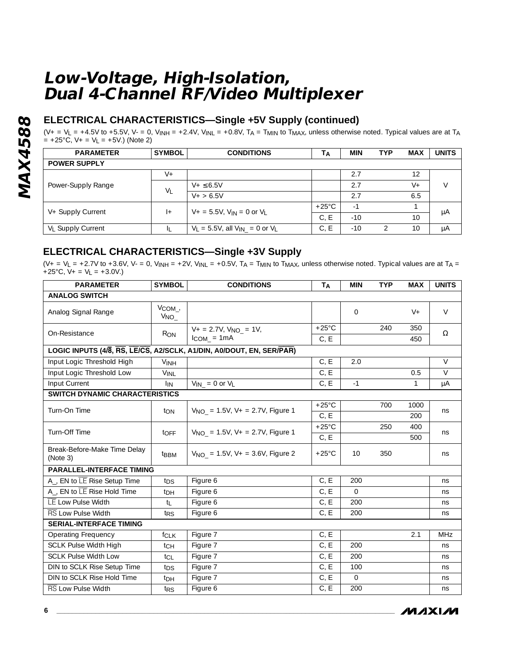## **ELECTRICAL CHARACTERISTICS—Single +5V Supply (continued)**

 $(V_+ = V_L = +4.5V$  to +5.5V, V- = 0, V<sub>INH</sub> = +2.4V, V<sub>INL</sub> = +0.8V, T<sub>A</sub> = T<sub>MIN</sub> to T<sub>MAX</sub>, unless otherwise noted. Typical values are at T<sub>A</sub>  $= +25^{\circ}C$ ,  $V + = V_L = +5V$ .) (Note 2)

| <b>PARAMETER</b>              | <b>SYMBOL</b>  | <b>CONDITIONS</b>                        | Тд              | <b>MIN</b> | <b>TYP</b> | <b>MAX</b> | <b>UNITS</b> |
|-------------------------------|----------------|------------------------------------------|-----------------|------------|------------|------------|--------------|
| <b>POWER SUPPLY</b>           |                |                                          |                 |            |            |            |              |
|                               | $V +$          |                                          |                 | 2.7        |            | 12         |              |
| Power-Supply Range            |                | $V + \le 6.5V$                           |                 | 2.7        |            | $V +$      | V            |
|                               | V <sub>1</sub> | $V + > 6.5V$                             |                 | 2.7        |            | 6.5        |              |
| V+ Supply Current             | $+$            | $V_+ = 5.5V$ , $V_{IN} = 0$ or $V_I$     | $+25^{\circ}$ C | $-1$       |            |            |              |
|                               |                |                                          | C.E             | $-10$      |            | 10         | μA           |
| V <sub>I</sub> Supply Current | Щ              | $V_L = 5.5V$ , all $V_{IN} = 0$ or $V_L$ | C, E            | $-10$      |            | 10         | μA           |

## **ELECTRICAL CHARACTERISTICS—Single +3V Supply**

(V+ = V<sub>L</sub> = +2.7V to +3.6V, V- = 0, V<sub>INH</sub> = +2V, V<sub>INL</sub> = +0.5V, T<sub>A</sub> = T<sub>MIN</sub> to T<sub>MAX</sub>, unless otherwise noted. Typical values are at T<sub>A</sub> =  $+25^{\circ}$ C, V + = V<sub>L</sub> = +3.0V.)

| <b>PARAMETER</b>                         | <b>SYMBOL</b>           | <b>CONDITIONS</b>                                                    | TA                | <b>MIN</b>     | <b>TYP</b> | <b>MAX</b> | <b>UNITS</b> |
|------------------------------------------|-------------------------|----------------------------------------------------------------------|-------------------|----------------|------------|------------|--------------|
| <b>ANALOG SWITCH</b>                     |                         |                                                                      |                   |                |            |            |              |
| Analog Signal Range                      | $V_{COM}$ ,<br>$V_{NO}$ |                                                                      |                   | $\overline{0}$ |            | $V +$      | $\vee$       |
| On-Resistance                            | R <sub>ON</sub>         | $V_+ = 2.7V$ , $V_{NO} = 1V$ ,                                       | $+25^{\circ}$ C   |                | 240        | 350        | Ω            |
|                                          |                         | $I_{COM} = 1mA$                                                      | C, E              |                |            | 450        |              |
|                                          |                         | LOGIC INPUTS (4/8, RS, LE/CS, A2/SCLK, A1/DIN, A0/DOUT, EN, SER/PAR) |                   |                |            |            |              |
| Input Logic Threshold High               | <b>VINH</b>             |                                                                      | C, E              | 2.0            |            |            | $\vee$       |
| Input Logic Threshold Low                | <b>VINL</b>             |                                                                      | C, E              |                |            | 0.5        | $\vee$       |
| Input Current                            | <b>I</b> IN             | $V_{IN} = 0$ or $V_L$                                                | C, E              | $-1$           |            | 1          | μA           |
| SWITCH DYNAMIC CHARACTERISTICS           |                         |                                                                      |                   |                |            |            |              |
| Turn-On Time                             | ton                     | $V_{NO}$ = 1.5V, V + = 2.7V, Figure 1                                | $+25^{\circ}$ C   |                | 700        | 1000       | ns           |
|                                          |                         |                                                                      | C, E              |                |            | 200        |              |
| Turn-Off Time                            | toff                    | $V_{NO}$ = 1.5V, V + = 2.7V, Figure 1                                | $+25^{\circ}$ C   |                | 250        | 400        | ns           |
|                                          |                         |                                                                      | C, E              |                |            | 500        |              |
| Break-Before-Make Time Delay<br>(Note 3) | t <sub>BBM</sub>        | $V_{NO}$ = 1.5V, V + = 3.6V, Figure 2                                | $+25^{\circ}$ C   | 10             | 350        |            | ns           |
| <b>PARALLEL-INTERFACE TIMING</b>         |                         |                                                                      |                   |                |            |            |              |
| A_, EN to LE Rise Setup Time             | t <sub>DS</sub>         | Figure 6                                                             | C, E              | 200            |            |            | ns           |
| A <sub>-</sub> , EN to LE Rise Hold Time | t <sub>DH</sub>         | Figure 6                                                             | C, E              | $\Omega$       |            |            | ns           |
| LE Low Pulse Width                       | tı.                     | Figure 6                                                             | C, E              | 200            |            |            | ns           |
| <b>RS</b> Low Pulse Width                | t <sub>RS</sub>         | Figure 6                                                             | C, E              | 200            |            |            | ns           |
| <b>SERIAL-INTERFACE TIMING</b>           |                         |                                                                      |                   |                |            |            |              |
| <b>Operating Frequency</b>               | <b>f</b> CLK            | Figure 7                                                             | C, E              |                |            | 2.1        | MHz          |
| <b>SCLK Pulse Width High</b>             | tch                     | Figure 7                                                             | $C, \overline{E}$ | 200            |            |            | ns           |
| <b>SCLK Pulse Width Low</b>              | tcL                     | Figure 7                                                             | C, E              | 200            |            |            | ns           |
| DIN to SCLK Rise Setup Time              | $t_{DS}$                | Figure 7                                                             | C, E              | 100            |            |            | ns           |
| DIN to SCLK Rise Hold Time               | t <sub>DH</sub>         | Figure 7                                                             | C, E              | $\Omega$       |            |            | ns           |
| <b>RS</b> Low Pulse Width                | t <sub>RS</sub>         | Figure 6                                                             | C, E              | 200            |            |            | ns           |

**MAXIM**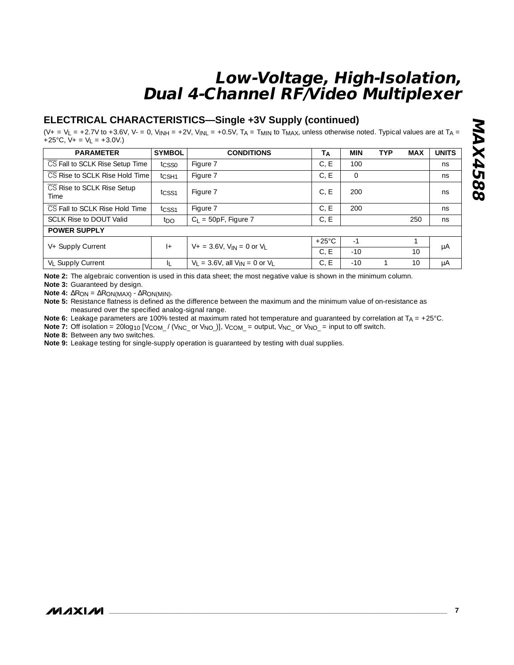## **ELECTRICAL CHARACTERISTICS—Single +3V Supply (continued)**

 $(V_+ = V_L = +2.7V$  to +3.6V, V- = 0, V<sub>INH</sub> = +2V, V<sub>INL</sub> = +0.5V, T<sub>A</sub> = T<sub>MIN</sub> to T<sub>MAX</sub>, unless otherwise noted. Typical values are at T<sub>A</sub> +25°C,  $V_+ = V_L = +3.0V$ .)

| <b>PARAMETER</b>                   | <b>SYMBOL</b>     | <b>CONDITIONS</b>                        | TA              | <b>MIN</b>     | <b>TYP</b> | <b>MAX</b> | <b>UNITS</b> |
|------------------------------------|-------------------|------------------------------------------|-----------------|----------------|------------|------------|--------------|
| CS Fall to SCLK Rise Setup Time    | tcsso             | Figure 7                                 | C, E            | 100            |            |            | ns           |
| CS Rise to SCLK Rise Hold Time     | t <sub>CSH1</sub> | Figure 7                                 | C, E            | $\overline{0}$ |            |            | ns           |
| CS Rise to SCLK Rise Setup<br>Time | t <sub>CSS1</sub> | Figure 7                                 | C, E            | 200            |            |            | ns           |
| CS Fall to SCLK Rise Hold Time     | t <sub>CSS1</sub> | Figure 7                                 | C.E             | 200            |            |            | ns           |
| <b>SCLK Rise to DOUT Valid</b>     | t <sub>DO</sub>   | $C_L$ = 50pF, Figure 7                   | C, E            |                |            | 250        | ns           |
| <b>POWER SUPPLY</b>                |                   |                                          |                 |                |            |            |              |
| V+ Supply Current                  | $ +$              | $V_+ = 3.6V$ , $V_{IN} = 0$ or $V_I$     | $+25^{\circ}$ C | $-1$           |            |            | μA           |
|                                    |                   |                                          | C.E             | $-10$          |            | 10         |              |
| V <sub>L</sub> Supply Current      | IL.               | $V_1 = 3.6V$ , all $V_{IN} = 0$ or $V_1$ | C, E            | $-10$          |            | 10         | μA           |

**Note 2:** The algebraic convention is used in this data sheet; the most negative value is shown in the minimum column.

**Note 3:** Guaranteed by design.

**Note 4:** ∆RON = ∆RON(MAX) - ∆RON(MIN).

**Note 5:** Resistance flatness is defined as the difference between the maximum and the minimum value of on-resistance as measured over the specified analog-signal range.

**Note 6:** Leakage parameters are 100% tested at maximum rated hot temperature and guaranteed by correlation at T<sub>A</sub> = +25°C.

**Note 7:** Off isolation = 20log<sub>10</sub> [V<sub>COM\_</sub> / (V<sub>NC\_</sub> or V<sub>NO\_</sub>)], V<sub>COM\_</sub> = output, V<sub>NC\_</sub> or V<sub>NO\_</sub> = input to off switch.

**Note 8:** Between any two switches.

**Note 9:** Leakage testing for single-supply operation is guaranteed by testing with dual supplies.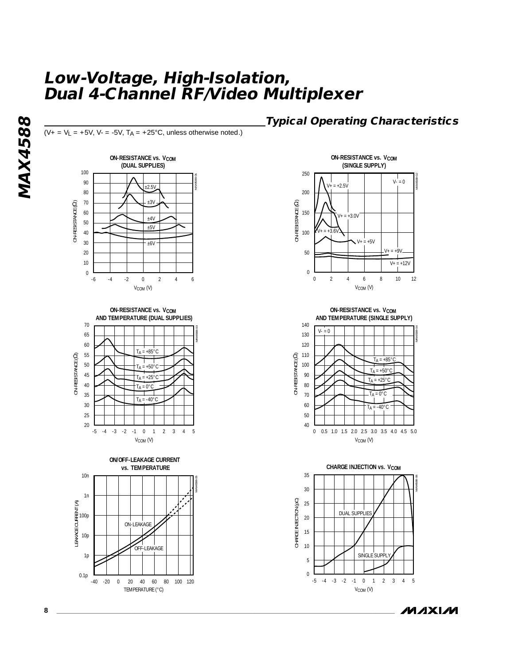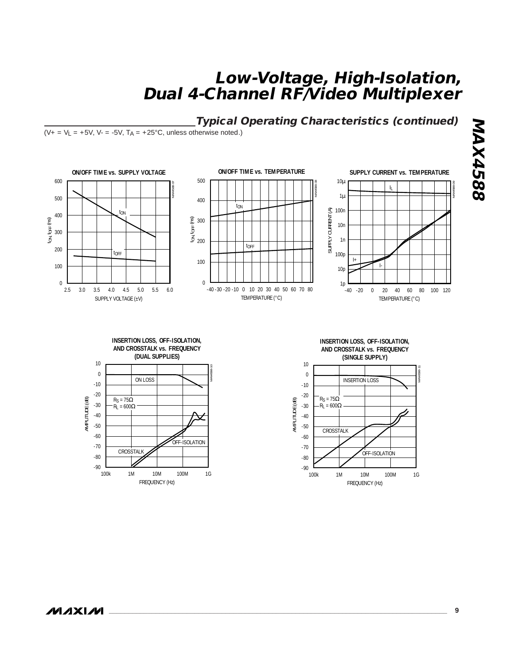**Typical Operating Characteristics (continued)**

 $(V_+ = V_L = +5V, V_- = -5V, T_A = +25^{\circ}C,$  unless otherwise noted.)



AMPLITUDE (dB) AMPLITUDE (dB) -30  $R<sub>L</sub> = 600Ω$ -40 -50 -60 OFF-ISOLATION -70 **CROSSTALK** -80  $-90$  L<br>100k 1M 10M 100M 1G FREQUENCY (Hz)

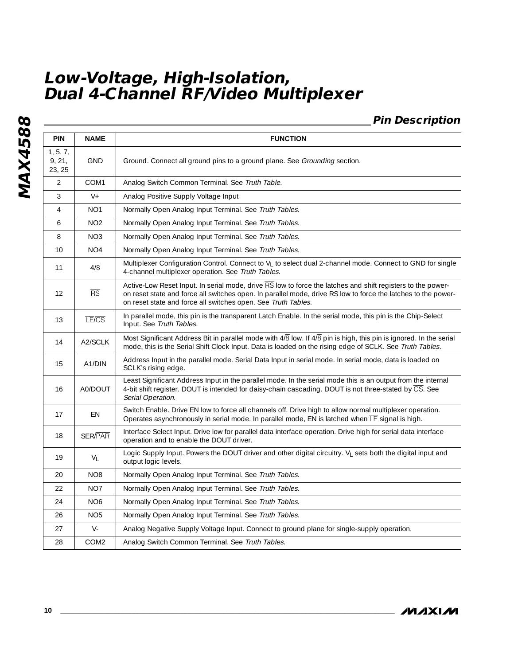## **Pin Description**

| <b>PIN</b>                   | <b>NAME</b>            | <b>FUNCTION</b>                                                                                                                                                                                                                                                                               |
|------------------------------|------------------------|-----------------------------------------------------------------------------------------------------------------------------------------------------------------------------------------------------------------------------------------------------------------------------------------------|
| 1, 5, 7,<br>9, 21,<br>23, 25 | <b>GND</b>             | Ground. Connect all ground pins to a ground plane. See Grounding section.                                                                                                                                                                                                                     |
| $\overline{2}$               | COM1                   | Analog Switch Common Terminal. See Truth Table.                                                                                                                                                                                                                                               |
| 3                            | $V +$                  | Analog Positive Supply Voltage Input                                                                                                                                                                                                                                                          |
| $\overline{4}$               | NO <sub>1</sub>        | Normally Open Analog Input Terminal. See Truth Tables.                                                                                                                                                                                                                                        |
| 6                            | NO <sub>2</sub>        | Normally Open Analog Input Terminal. See Truth Tables.                                                                                                                                                                                                                                        |
| 8                            | NO <sub>3</sub>        | Normally Open Analog Input Terminal. See Truth Tables.                                                                                                                                                                                                                                        |
| 10                           | NO <sub>4</sub>        | Normally Open Analog Input Terminal. See Truth Tables.                                                                                                                                                                                                                                        |
| 11                           | $4/\overline{8}$       | Multiplexer Configuration Control. Connect to V <sub>L</sub> to select dual 2-channel mode. Connect to GND for single<br>4-channel multiplexer operation. See Truth Tables.                                                                                                                   |
| $12 \overline{ }$            | $\overline{\text{RS}}$ | Active-Low Reset Input. In serial mode, drive RS low to force the latches and shift registers to the power-<br>on reset state and force all switches open. In parallel mode, drive RS low to force the latches to the power-<br>on reset state and force all switches open. See Truth Tables. |
| 13                           | <b>LE/CS</b>           | In parallel mode, this pin is the transparent Latch Enable. In the serial mode, this pin is the Chip-Select<br>Input. See Truth Tables.                                                                                                                                                       |
| 14                           | A2/SCLK                | Most Significant Address Bit in parallel mode with 4/8 low. If 4/8 pin is high, this pin is ignored. In the serial<br>mode, this is the Serial Shift Clock Input. Data is loaded on the rising edge of SCLK. See Truth Tables.                                                                |
| 15                           | A <sub>1</sub> /DIN    | Address Input in the parallel mode. Serial Data Input in serial mode. In serial mode, data is loaded on<br>SCLK's rising edge.                                                                                                                                                                |
| 16                           | A0/DOUT                | Least Significant Address Input in the parallel mode. In the serial mode this is an output from the internal<br>4-bit shift register. DOUT is intended for daisy-chain cascading. DOUT is not three-stated by CS. See<br>Serial Operation.                                                    |
| 17                           | EN                     | Switch Enable. Drive EN low to force all channels off. Drive high to allow normal multiplexer operation.<br>Operates asynchronously in serial mode. In parallel mode, EN is latched when LE signal is high.                                                                                   |
| 18                           | <b>SER/PAR</b>         | Interface Select Input. Drive low for parallel data interface operation. Drive high for serial data interface<br>operation and to enable the DOUT driver.                                                                                                                                     |
| 19                           | $V_L$                  | Logic Supply Input. Powers the DOUT driver and other digital circuitry. V <sub>I</sub> sets both the digital input and<br>output logic levels.                                                                                                                                                |
| 20                           | NO <sub>8</sub>        | Normally Open Analog Input Terminal. See Truth Tables.                                                                                                                                                                                                                                        |
| 22                           | NO <sub>7</sub>        | Normally Open Analog Input Terminal. See Truth Tables.                                                                                                                                                                                                                                        |
| 24                           | NO <sub>6</sub>        | Normally Open Analog Input Terminal. See Truth Tables.                                                                                                                                                                                                                                        |
| 26                           | NO <sub>5</sub>        | Normally Open Analog Input Terminal. See Truth Tables.                                                                                                                                                                                                                                        |
| 27                           | $V -$                  | Analog Negative Supply Voltage Input. Connect to ground plane for single-supply operation.                                                                                                                                                                                                    |
| 28                           | COM <sub>2</sub>       | Analog Switch Common Terminal. See Truth Tables.                                                                                                                                                                                                                                              |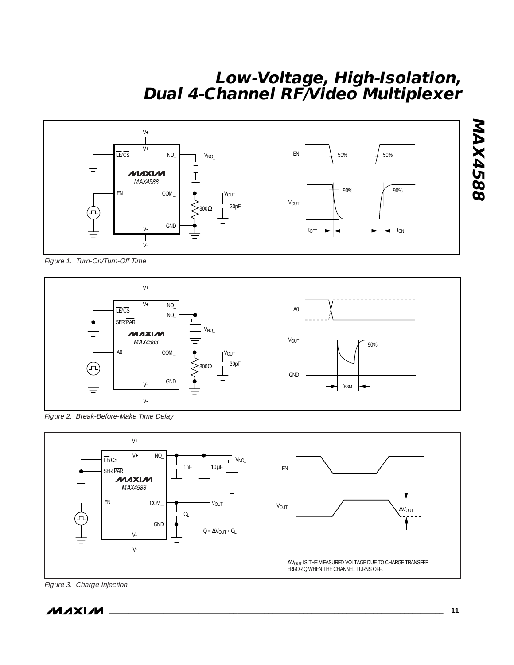

Figure 1. Turn-On/Turn-Off Time



Figure 2. Break-Before-Make Time Delay



Figure 3. Charge Injection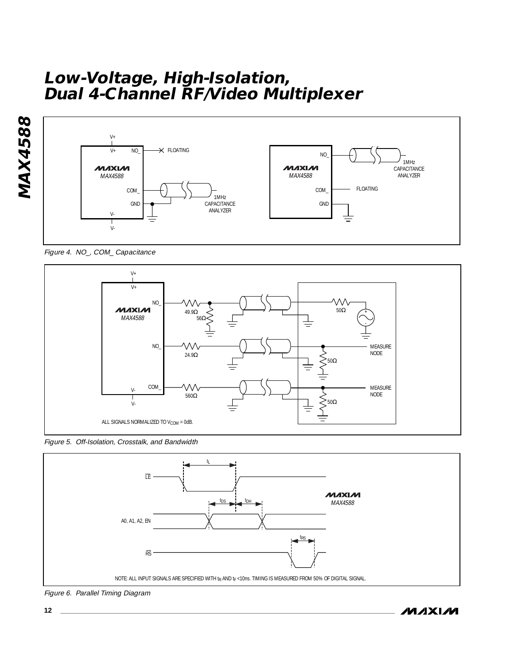



Figure 4. NO\_, COM\_ Capacitance







Figure 6. Parallel Timing Diagram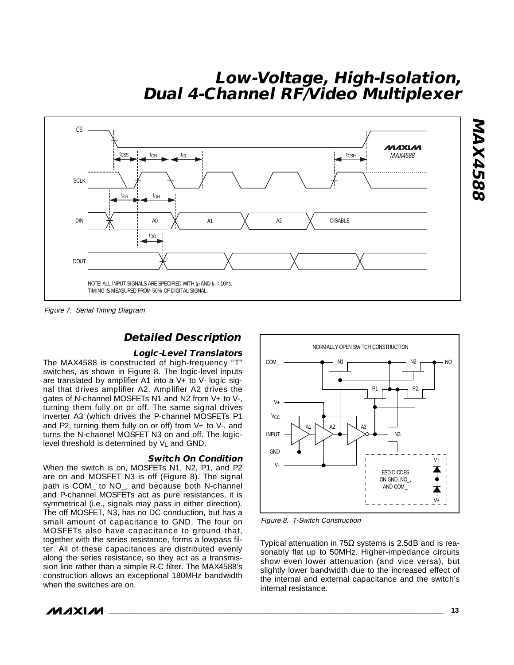

Figure 7. Serial Timing Diagram

## **Detailed Description**

#### **Logic-Level Translators**

The MAX4588 is constructed of high-frequency "T" switches, as shown in Figure 8. The logic-level inputs are translated by amplifier A1 into a  $V+$  to  $V-$  logic signal that drives amplifier A2. Amplifier A2 drives the gates of N-channel MOSFETs N1 and N2 from V+ to V-, turning them fully on or off. The same signal drives inverter A3 (which drives the P-channel MOSFETs P1 and P2, turning them fully on or off) from V+ to V-, and turns the N-channel MOSFET N3 on and off. The logiclevel threshold is determined by VL and GND.

#### **Switch On Condition**

When the switch is on, MOSFETs N1, N2, P1, and P2 are on and MOSFET N3 is off (Figure 8). The signal path is COM\_ to NO\_, and because both N-channel and P-channel MOSFETs act as pure resistances, it is symmetrical (i.e., signals may pass in either direction). The off MOSFET, N3, has no DC conduction, but has a small amount of capacitance to GND. The four on MOSFETs also have capacitance to ground that, together with the series resistance, forms a lowpass filter. All of these capacitances are distributed evenly along the series resistance, so they act as a transmission line rather than a simple R-C filter. The MAX4588's construction allows an exceptional 180MHz bandwidth when the switches are on.



Figure 8. T-Switch Construction

Typical attenuation in  $75Ω$  systems is 2.5dB and is reasonably flat up to 50MHz. Higher-impedance circuits show even lower attenuation (and vice versa), but slightly lower bandwidth due to the increased effect of the internal and external capacitance and the switch's internal resistance.



**MAX4588**

**MAX4588**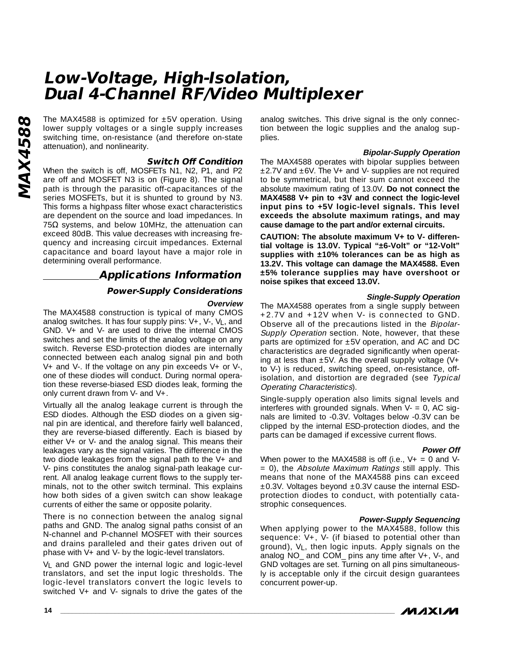The MAX4588 is optimized for ±5V operation. Using<br>
lower supply voltages or a single supply increases<br>
switching time, on-resistance (and therefore on-state<br>
attenuation), and nonlinearity.<br> **Switch Off Condition**<br>
When th lower supply voltages or a single supply increases switching time, on-resistance (and therefore on-state attenuation), and nonlinearity.

#### **Switch Off Condition**

When the switch is off, MOSFETs N1, N2, P1, and P2 are off and MOSFET N3 is on (Figure 8). The signal path is through the parasitic off-capacitances of the series MOSFETs, but it is shunted to ground by N3. This forms a highpass filter whose exact characteristics are dependent on the source and load impedances. In 75 $Ω$  systems, and below 10MHz, the attenuation can exceed 80dB. This value decreases with increasing frequency and increasing circuit impedances. External capacitance and board layout have a major role in determining overall performance.

## **Applications Information**

#### **Power-Supply Considerations**

#### **Overview**

The MAX4588 construction is typical of many CMOS analog switches. It has four supply pins: V+, V-, VL, and GND. V+ and V- are used to drive the internal CMOS switches and set the limits of the analog voltage on any switch. Reverse ESD-protection diodes are internally connected between each analog signal pin and both V+ and V-. If the voltage on any pin exceeds V+ or V-, one of these diodes will conduct. During normal operation these reverse-biased ESD diodes leak, forming the only current drawn from V- and V+.

Virtually all the analog leakage current is through the ESD diodes. Although the ESD diodes on a given signal pin are identical, and therefore fairly well balanced, they are reverse-biased differently. Each is biased by either V+ or V- and the analog signal. This means their leakages vary as the signal varies. The difference in the two diode leakages from the signal path to the V+ and V- pins constitutes the analog signal-path leakage current. All analog leakage current flows to the supply terminals, not to the other switch terminal. This explains how both sides of a given switch can show leakage currents of either the same or opposite polarity.

There is no connection between the analog signal paths and GND. The analog signal paths consist of an N-channel and P-channel MOSFET with their sources and drains paralleled and their gates driven out of phase with V+ and V- by the logic-level translators.

V<sub>L</sub> and GND power the internal logic and logic-level translators, and set the input logic thresholds. The logic-level translators convert the logic levels to switched V+ and V- signals to drive the gates of the

analog switches. This drive signal is the only connection between the logic supplies and the analog supplies.

#### **Bipolar-Supply Operation**

The MAX4588 operates with bipolar supplies between  $±2.7V$  and  $±6V$ . The V+ and V- supplies are not required to be symmetrical, but their sum cannot exceed the absolute maximum rating of 13.0V. **Do not connect the MAX4588 V+ pin to +3V and connect the logic-level input pins to +5V logic-level signals. This level exceeds the absolute maximum ratings, and may cause damage to the part and/or external circuits.**

**CAUTION: The absolute maximum V+ to V- differential voltage is 13.0V. Typical "±6-Volt" or "12-Volt" supplies with ±10% tolerances can be as high as 13.2V. This voltage can damage the MAX4588. Even ±5% tolerance supplies may have overshoot or noise spikes that exceed 13.0V.**

#### **Single-Supply Operation**

The MAX4588 operates from a single supply between +2.7V and +12V when V- is connected to GND. Observe all of the precautions listed in the Bipolar-Supply Operation section. Note, however, that these parts are optimized for  $\pm 5V$  operation, and AC and DC characteristics are degraded significantly when operating at less than  $\pm 5V$ . As the overall supply voltage (V+ to V-) is reduced, switching speed, on-resistance, offisolation, and distortion are degraded (see Typical Operating Characteristics).

Single-supply operation also limits signal levels and interferes with grounded signals. When  $V = 0$ , AC signals are limited to -0.3V. Voltages below -0.3V can be clipped by the internal ESD-protection diodes, and the parts can be damaged if excessive current flows.

#### **Power Off**

When power to the MAX4588 is off (i.e.,  $V_+ = 0$  and V-= 0), the Absolute Maximum Ratings still apply. This means that none of the MAX4588 pins can exceed  $\pm$ 0.3V. Voltages beyond  $\pm$ 0.3V cause the internal ESDprotection diodes to conduct, with potentially catastrophic consequences.

#### **Power-Supply Sequencing**

**MAXM** 

When applying power to the MAX4588, follow this sequence: V+, V- (if biased to potential other than ground), VL, then logic inputs. Apply signals on the analog NO\_ and COM\_ pins any time after V+, V-, and GND voltages are set. Turning on all pins simultaneously is acceptable only if the circuit design guarantees concurrent power-up.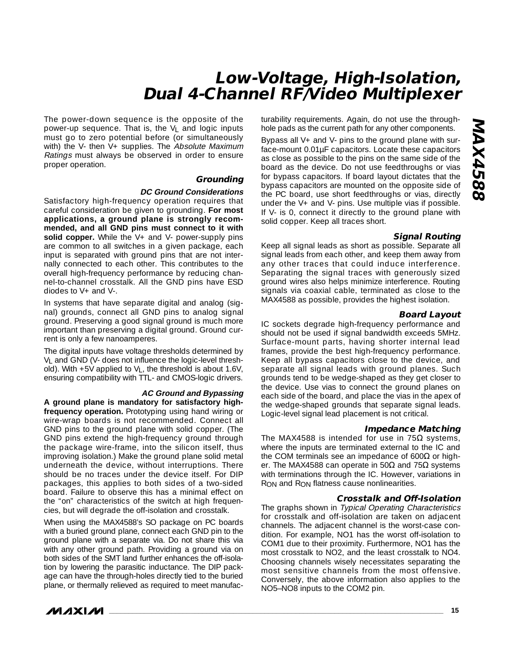The power-down sequence is the opposite of the power-up sequence. That is, the VL and logic inputs must go to zero potential before (or simultaneously with) the V- then V+ supplies. The Absolute Maximum Ratings must always be observed in order to ensure proper operation.

#### **Grounding**

#### **DC Ground Considerations**

Satisfactory high-frequency operation requires that careful consideration be given to grounding. **For most applications, a ground plane is strongly recommended, and all GND pins must connect to it with solid copper.** While the V+ and V- power-supply pins are common to all switches in a given package, each input is separated with ground pins that are not internally connected to each other. This contributes to the overall high-frequency performance by reducing channel-to-channel crosstalk. All the GND pins have ESD diodes to V+ and V-.

In systems that have separate digital and analog (signal) grounds, connect all GND pins to analog signal ground. Preserving a good signal ground is much more important than preserving a digital ground. Ground current is only a few nanoamperes.

The digital inputs have voltage thresholds determined by VL and GND (V- does not influence the logic-level threshold). With +5V applied to VL, the threshold is about 1.6V, ensuring compatibility with TTL- and CMOS-logic drivers.

#### **AC Ground and Bypassing**

**A ground plane is mandatory for satisfactory highfrequency operation.** Prototyping using hand wiring or wire-wrap boards is not recommended. Connect all GND pins to the ground plane with solid copper. (The GND pins extend the high-frequency ground through the package wire-frame, into the silicon itself, thus improving isolation.) Make the ground plane solid metal underneath the device, without interruptions. There should be no traces under the device itself. For DIP packages, this applies to both sides of a two-sided board. Failure to observe this has a minimal effect on the "on" characteristics of the switch at high frequencies, but will degrade the off-isolation and crosstalk.

When using the MAX4588's SO package on PC boards with a buried ground plane, connect each GND pin to the ground plane with a separate via. Do not share this via with any other ground path. Providing a ground via on both sides of the SMT land further enhances the off-isolation by lowering the parasitic inductance. The DIP package can have the through-holes directly tied to the buried plane, or thermally relieved as required to meet manufac-



Bypass all V+ and V- pins to the ground plane with surface-mount 0.01µF capacitors. Locate these capacitors as close as possible to the pins on the same side of the board as the device. Do not use feedthroughs or vias for bypass capacitors. If board layout dictates that the bypass capacitors are mounted on the opposite side of the PC board, use short feedthroughs or vias, directly under the V+ and V- pins. Use multiple vias if possible. If V- is 0, connect it directly to the ground plane with solid copper. Keep all traces short.

#### **Signal Routing**

Keep all signal leads as short as possible. Separate all signal leads from each other, and keep them away from any other traces that could induce interference. Separating the signal traces with generously sized ground wires also helps minimize interference. Routing signals via coaxial cable, terminated as close to the MAX4588 as possible, provides the highest isolation.

#### **Board Layout**

IC sockets degrade high-frequency performance and should not be used if signal bandwidth exceeds 5MHz. Surface-mount parts, having shorter internal lead frames, provide the best high-frequency performance. Keep all bypass capacitors close to the device, and separate all signal leads with ground planes. Such grounds tend to be wedge-shaped as they get closer to the device. Use vias to connect the ground planes on each side of the board, and place the vias in the apex of the wedge-shaped grounds that separate signal leads. Logic-level signal lead placement is not critical.

#### **Impedance Matching**

The MAX4588 is intended for use in  $75\Omega$  systems, where the inputs are terminated external to the IC and the COM terminals see an impedance of 600Ω or higher. The MAX4588 can operate in 50Ω and 75Ω systems with terminations through the IC. However, variations in RON and RON flatness cause nonlinearities.

#### **Crosstalk and Off-Isolation**

The graphs shown in Typical Operating Characteristics for crosstalk and off-isolation are taken on adjacent channels. The adjacent channel is the worst-case condition. For example, NO1 has the worst off-isolation to COM1 due to their proximity. Furthermore, NO1 has the most crosstalk to NO2, and the least crosstalk to NO4. Choosing channels wisely necessitates separating the most sensitive channels from the most offensive. Conversely, the above information also applies to the NO5–NO8 inputs to the COM2 pin.

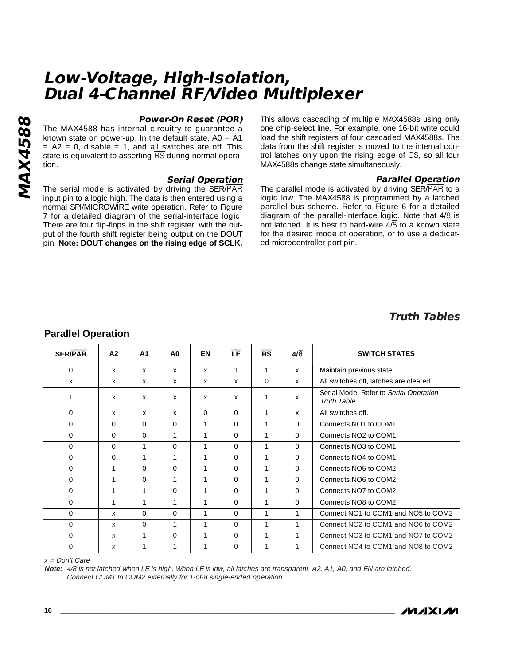# **MAX4588 MAX4588**

#### **Power-On Reset (POR)**

The MAX4588 has internal circuitry to guarantee a known state on power-up. In the default state,  $AO = A1$  $= A2 = 0$ , disable  $= 1$ , and all switches are off. This state is equivalent to asserting RS during normal operation.

#### **Serial Operation**

The serial mode is activated by driving the SER/PAR input pin to a logic high. The data is then entered using a normal SPI/MICROWIRE write operation. Refer to Figure 7 for a detailed diagram of the serial-interface logic. There are four flip-flops in the shift register, with the output of the fourth shift register being output on the DOUT pin. **Note: DOUT changes on the rising edge of SCLK.** This allows cascading of multiple MAX4588s using only one chip-select line. For example, one 16-bit write could load the shift registers of four cascaded MAX4588s. The data from the shift register is moved to the internal control latches only upon the rising edge of  $\overline{CS}$ , so all four MAX4588s change state simultaneously.

#### **Parallel Operation**

The parallel mode is activated by driving SER/PAR to a logic low. The MAX4588 is programmed by a latched parallel bus scheme. Refer to Figure 6 for a detailed diagram of the parallel-interface logic. Note that  $4/\overline{8}$  is not latched. It is best to hard-wire  $4\sqrt{8}$  to a known state for the desired mode of operation, or to use a dedicated microcontroller port pin.

## **Truth Tables**

# **Parallel Operation**

| <b>SER/PAR</b> | A2       | A <sub>1</sub> | A0           | EN             | LE             | $\overline{\text{RS}}$ | $4/\overline{8}$ | <b>SWITCH STATES</b>                                   |
|----------------|----------|----------------|--------------|----------------|----------------|------------------------|------------------|--------------------------------------------------------|
| $\overline{0}$ | $\times$ | $\times$       | $\mathsf{X}$ | $\times$       | $\mathbf{1}$   | 1                      | X                | Maintain previous state.                               |
| $\mathsf{X}$   | $\times$ | $\mathsf{X}$   | $\mathsf{X}$ | $\mathsf{X}$   | X              | $\Omega$               | X                | All switches off, latches are cleared.                 |
| 1              | X        | X              | $\mathsf{X}$ | X              | X              |                        | X                | Serial Mode. Refer to Serial Operation<br>Truth Table. |
| $\Omega$       | $\chi$   | $\mathsf{X}$   | X            | $\Omega$       | $\Omega$       | 1                      | X                | All switches off.                                      |
| $\Omega$       | $\Omega$ | $\Omega$       | $\Omega$     | $\mathbf{1}$   | $\Omega$       | 1                      | $\Omega$         | Connects NO1 to COM1                                   |
| $\Omega$       | $\Omega$ | $\Omega$       | 1            | $\mathbf{1}$   | $\Omega$       | $\mathbf{1}$           | $\Omega$         | Connects NO <sub>2</sub> to COM <sub>1</sub>           |
| $\Omega$       | $\Omega$ | $\mathbf{1}$   | $\Omega$     | 1              | $\Omega$       | 1                      | $\Omega$         | Connects NO3 to COM1                                   |
| $\mathbf{0}$   | $\Omega$ | 1              | 1            | 1              | $\Omega$       | 1                      | $\Omega$         | Connects NO4 to COM1                                   |
| $\Omega$       | 1        | $\Omega$       | $\Omega$     |                | $\Omega$       | 1                      | $\Omega$         | Connects NO5 to COM2                                   |
| $\Omega$       | 1        | $\Omega$       | 1            |                | $\Omega$       |                        | $\Omega$         | Connects NO6 to COM2                                   |
| $\Omega$       | 1        | 1              | $\Omega$     |                | $\Omega$       |                        | $\Omega$         | Connects NO7 to COM2                                   |
| $\mathbf{0}$   | 1        | 1              | 1            |                | $\overline{0}$ |                        | $\Omega$         | Connects NO8 to COM2                                   |
| $\Omega$       | X        | $\Omega$       | $\Omega$     | 1              | $\Omega$       |                        | 1                | Connect NO1 to COM1 and NO5 to COM2                    |
| $\Omega$       | X        | $\Omega$       | 1            | 1              | $\Omega$       |                        |                  | Connect NO2 to COM1 and NO6 to COM2                    |
| $\Omega$       | X        | $\mathbf{1}$   | $\Omega$     | $\overline{1}$ | $\Omega$       | $\mathbf{1}$           | $\mathbf{1}$     | Connect NO3 to COM1 and NO7 to COM2                    |
| $\Omega$       | X        | 1              | 1            |                | $\Omega$       |                        |                  | Connect NO4 to COM1 and NO8 to COM2                    |

x = Don't Care

**Note:** 4/8 is not latched when LE is high. When LE is low, all latches are transparent. A2, A1, A0, and EN are latched. Connect COM1 to COM2 externally for 1-of-8 single-ended operation.

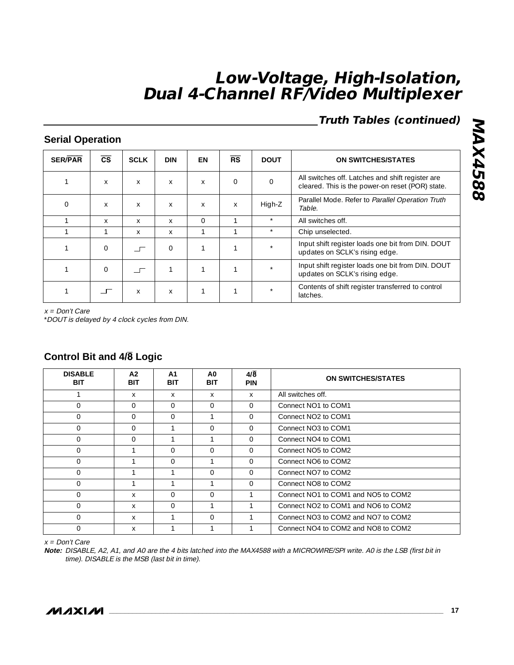# **Truth Tables (continued)**

## **Serial Operation**

| <b>SER/PAR</b> | $\overline{\text{cs}}$ | <b>SCLK</b> | <b>DIN</b> | EN       | $\overline{\text{RS}}$ | <b>DOUT</b> | <b>ON SWITCHES/STATES</b>                                                                            |
|----------------|------------------------|-------------|------------|----------|------------------------|-------------|------------------------------------------------------------------------------------------------------|
|                | X                      | X           | X          | X        | $\Omega$               | $\Omega$    | All switches off. Latches and shift register are<br>cleared. This is the power-on reset (POR) state. |
| $\Omega$       | X                      | X           | X          | $\chi$   | $\times$               | High-Z      | Parallel Mode. Refer to Parallel Operation Truth<br>Table.                                           |
|                | X                      | X           | X          | $\Omega$ | 1                      | $\star$     | All switches off.                                                                                    |
|                |                        | X           | X          | n,       |                        | $\star$     | Chip unselected.                                                                                     |
|                | $\Omega$               |             | $\Omega$   | 1        | 1                      | $\star$     | Input shift register loads one bit from DIN. DOUT<br>updates on SCLK's rising edge.                  |
|                | $\Omega$               |             |            |          |                        |             | Input shift register loads one bit from DIN. DOUT<br>updates on SCLK's rising edge.                  |
|                |                        | X           | X          |          |                        | $\star$     | Contents of shift register transferred to control<br>latches.                                        |

x = Don't Care

\*DOUT is delayed by 4 clock cycles from DIN.

| <b>DISABLE</b><br><b>BIT</b> | A <sub>2</sub><br><b>BIT</b> | A1<br><b>BIT</b> | A0<br><b>BIT</b> | $4/\overline{8}$<br><b>PIN</b> | <b>ON SWITCHES/STATES</b>                   |
|------------------------------|------------------------------|------------------|------------------|--------------------------------|---------------------------------------------|
|                              | X                            | X                | X                | $\times$                       | All switches off.                           |
| $\Omega$                     | $\Omega$                     | $\Omega$         | $\Omega$         | $\Omega$                       | Connect NO1 to COM1                         |
| $\Omega$                     | $\Omega$                     | $\Omega$         | и                | $\Omega$                       | Connect NO <sub>2</sub> to COM <sub>1</sub> |
| $\Omega$                     | $\Omega$                     |                  | $\Omega$         | $\Omega$                       | Connect NO3 to COM1                         |
| $\Omega$                     | $\Omega$                     | и                | h                | $\Omega$                       | Connect NO4 to COM1                         |
| $\Omega$                     |                              | $\Omega$         | $\Omega$         | $\Omega$                       | Connect NO <sub>5</sub> to COM <sub>2</sub> |
| $\Omega$                     |                              | $\Omega$         |                  | $\Omega$                       | Connect NO6 to COM2                         |
| $\Omega$                     |                              |                  | $\Omega$         | $\Omega$                       | Connect NO7 to COM2                         |
| $\Omega$                     |                              |                  |                  | $\Omega$                       | Connect NO8 to COM2                         |
| $\Omega$                     | X                            | $\Omega$         | $\Omega$         |                                | Connect NO1 to COM1 and NO5 to COM2         |
| $\Omega$                     | X                            | $\Omega$         | ⊣                |                                | Connect NO2 to COM1 and NO6 to COM2         |
| $\Omega$                     | X                            |                  | $\Omega$         |                                | Connect NO3 to COM2 and NO7 to COM2         |
| $\Omega$                     | X                            |                  |                  |                                | Connect NO4 to COM2 and NO8 to COM2         |

## **Control Bit and 4/**8 **Logic**

x = Don't Care

**Note:** DISABLE, A2, A1, and A0 are the 4 bits latched into the MAX4588 with a MICROWIRE/SPI write. A0 is the LSB (first bit in time). DISABLE is the MSB (last bit in time).

**MAX4588 MAX4588**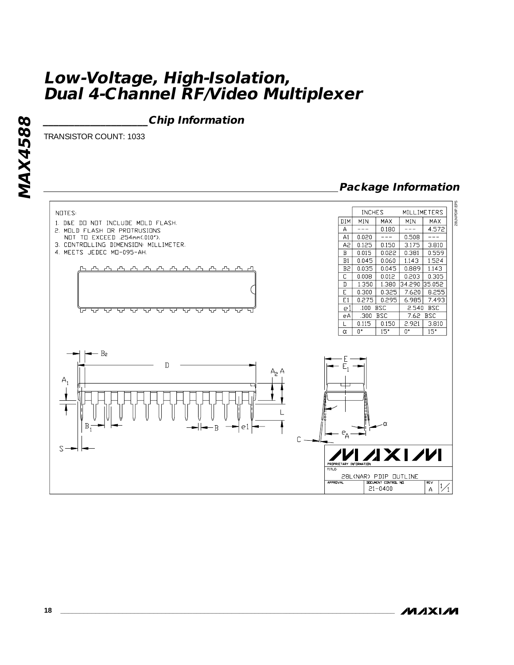**\_\_\_\_\_\_\_\_\_\_\_\_\_\_\_\_\_\_\_\_Chip Information**

TRANSISTOR COUNT: 1033

## **Package Information**



**MAXM**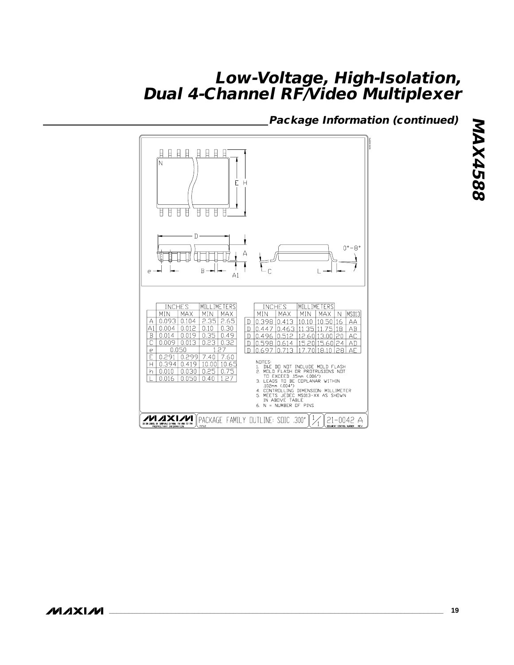## **Package Information (continued)**



**MAXIM**